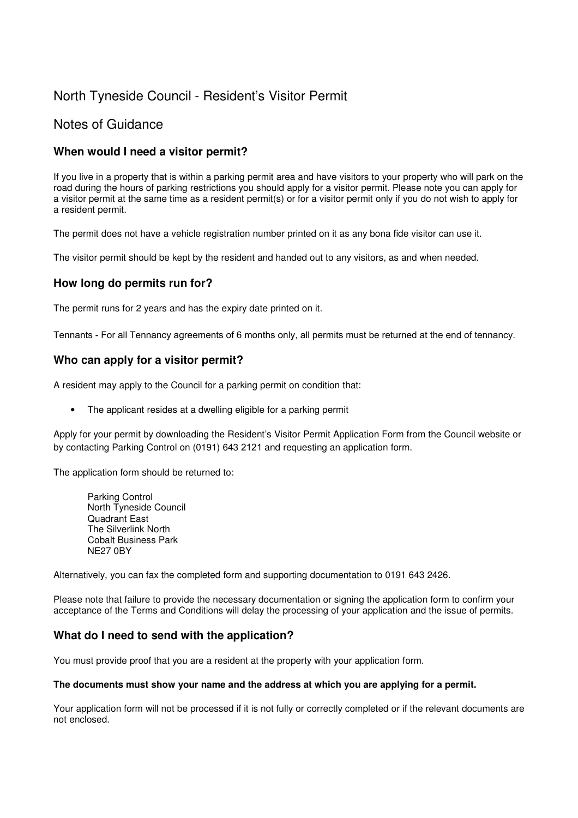# North Tyneside Council - Resident's Visitor Permit

# Notes of Guidance

### **When would I need a visitor permit?**

If you live in a property that is within a parking permit area and have visitors to your property who will park on the road during the hours of parking restrictions you should apply for a visitor permit. Please note you can apply for a visitor permit at the same time as a resident permit(s) or for a visitor permit only if you do not wish to apply for a resident permit.

The permit does not have a vehicle registration number printed on it as any bona fide visitor can use it.

The visitor permit should be kept by the resident and handed out to any visitors, as and when needed.

### **How long do permits run for?**

The permit runs for 2 years and has the expiry date printed on it.

Tennants - For all Tennancy agreements of 6 months only, all permits must be returned at the end of tennancy.

### **Who can apply for a visitor permit?**

A resident may apply to the Council for a parking permit on condition that:

• The applicant resides at a dwelling eligible for a parking permit

Apply for your permit by downloading the Resident's Visitor Permit Application Form from the Council website or by contacting Parking Control on (0191) 643 2121 and requesting an application form.

The application form should be returned to:

Parking Control North Tyneside Council Quadrant East The Silverlink North Cobalt Business Park NE27 0BY

Alternatively, you can fax the completed form and supporting documentation to 0191 643 2426.

Please note that failure to provide the necessary documentation or signing the application form to confirm your acceptance of the Terms and Conditions will delay the processing of your application and the issue of permits.

### **What do I need to send with the application?**

You must provide proof that you are a resident at the property with your application form.

#### **The documents must show your name and the address at which you are applying for a permit.**

Your application form will not be processed if it is not fully or correctly completed or if the relevant documents are not enclosed.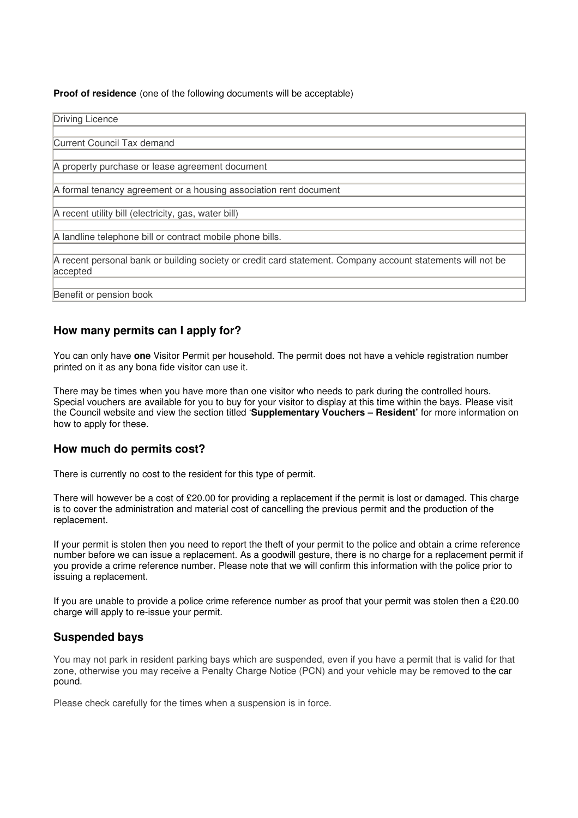**Proof of residence** (one of the following documents will be acceptable)

Driving Licence Current Council Tax demand A property purchase or lease agreement document A formal tenancy agreement or a housing association rent document A recent utility bill (electricity, gas, water bill) A landline telephone bill or contract mobile phone bills. A recent personal bank or building society or credit card statement. Company account statements will not be accepted Benefit or pension book

### **How many permits can I apply for?**

You can only have **one** Visitor Permit per household. The permit does not have a vehicle registration number printed on it as any bona fide visitor can use it.

There may be times when you have more than one visitor who needs to park during the controlled hours. Special vouchers are available for you to buy for your visitor to display at this time within the bays. Please visit the Council website and view the section titled '**Supplementary Vouchers – Resident'** for more information on how to apply for these.

### **How much do permits cost?**

There is currently no cost to the resident for this type of permit.

There will however be a cost of £20.00 for providing a replacement if the permit is lost or damaged. This charge is to cover the administration and material cost of cancelling the previous permit and the production of the replacement.

If your permit is stolen then you need to report the theft of your permit to the police and obtain a crime reference number before we can issue a replacement. As a goodwill gesture, there is no charge for a replacement permit if you provide a crime reference number. Please note that we will confirm this information with the police prior to issuing a replacement.

If you are unable to provide a police crime reference number as proof that your permit was stolen then a £20.00 charge will apply to re-issue your permit.

### **Suspended bays**

You may not park in resident parking bays which are suspended, even if you have a permit that is valid for that zone, otherwise you may receive a Penalty Charge Notice (PCN) and your vehicle may be removed to the car pound.

Please check carefully for the times when a suspension is in force.